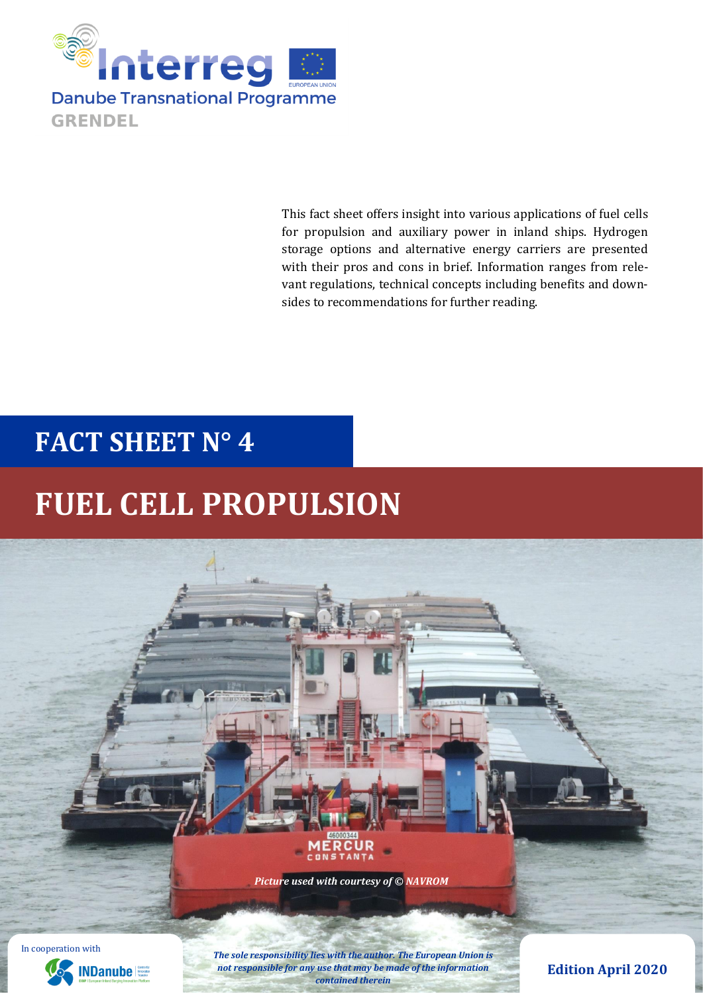

This fact sheet offers insight into various applications of fuel cells for propulsion and auxiliary power in inland ships. Hydrogen storage options and alternative energy carriers are presented with their pros and cons in brief. Information ranges from relevant regulations, technical concepts including benefits and downsides to recommendations for further reading.

## **FACT SHEET N° 4**

# **FUEL CELL PROPULSION**





*The sole responsibility lies with the author. The European Union is not responsible for any use that may be made of the information contained therein*

### **Edition April 2020**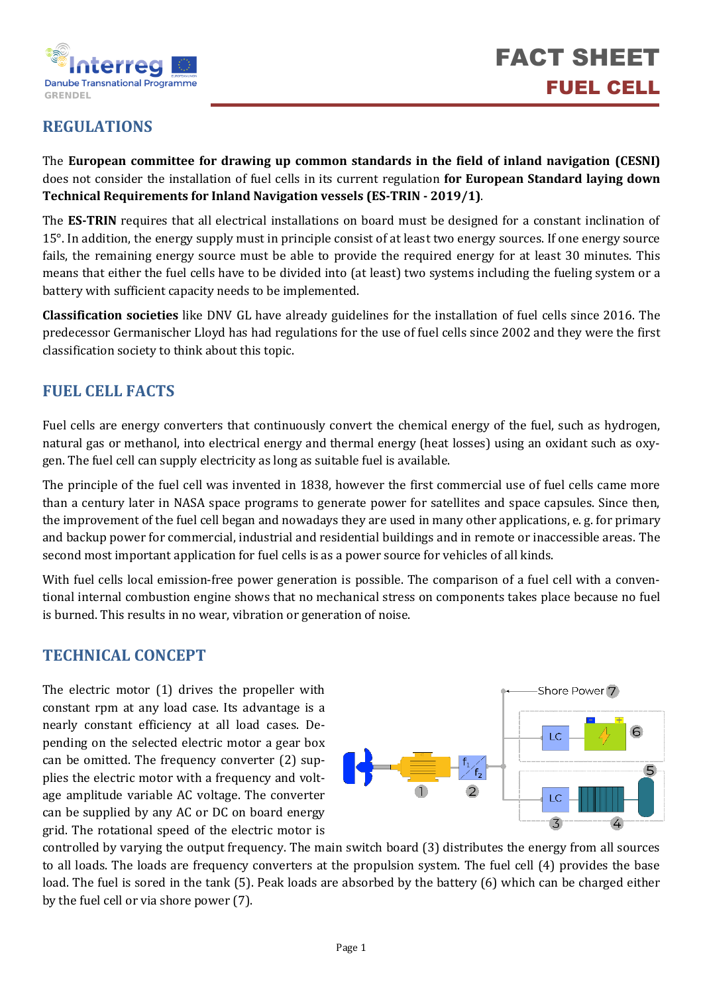

## **REGULATIONS**

The **European committee for drawing up common standards in the field of inland navigation (CESNI)** does not consider the installation of fuel cells in its current regulation **for European Standard laying down Technical Requirements for Inland Navigation vessels (ES-TRIN - 2019/1)**.

The **ES-TRIN** requires that all electrical installations on board must be designed for a constant inclination of 15°. In addition, the energy supply must in principle consist of at least two energy sources. If one energy source fails, the remaining energy source must be able to provide the required energy for at least 30 minutes. This means that either the fuel cells have to be divided into (at least) two systems including the fueling system or a battery with sufficient capacity needs to be implemented.

**Classification societies** like DNV GL have already guidelines for the installation of fuel cells since 2016. The predecessor Germanischer Lloyd has had regulations for the use of fuel cells since 2002 and they were the first classification society to think about this topic.

## **FUEL CELL FACTS**

Fuel cells are energy converters that continuously convert the chemical energy of the fuel, such as hydrogen, natural gas or methanol, into electrical energy and thermal energy (heat losses) using an oxidant such as oxygen. The fuel cell can supply electricity as long as suitable fuel is available.

The principle of the fuel cell was invented in 1838, however the first commercial use of fuel cells came more than a century later in NASA space programs to generate power for satellites and space capsules. Since then, the improvement of the fuel cell began and nowadays they are used in many other applications, e. g. for primary and backup power for commercial, industrial and residential buildings and in remote or inaccessible areas. The second most important application for fuel cells is as a power source for vehicles of all kinds.

With fuel cells local emission-free power generation is possible. The comparison of a fuel cell with a conventional internal combustion engine shows that no mechanical stress on components takes place because no fuel is burned. This results in no wear, vibration or generation of noise.

### **TECHNICAL CONCEPT**

The electric motor (1) drives the propeller with constant rpm at any load case. Its advantage is a nearly constant efficiency at all load cases. Depending on the selected electric motor a gear box can be omitted. The frequency converter (2) supplies the electric motor with a frequency and voltage amplitude variable AC voltage. The converter can be supplied by any AC or DC on board energy grid. The rotational speed of the electric motor is



controlled by varying the output frequency. The main switch board (3) distributes the energy from all sources to all loads. The loads are frequency converters at the propulsion system. The fuel cell (4) provides the base load. The fuel is sored in the tank (5). Peak loads are absorbed by the battery (6) which can be charged either by the fuel cell or via shore power (7).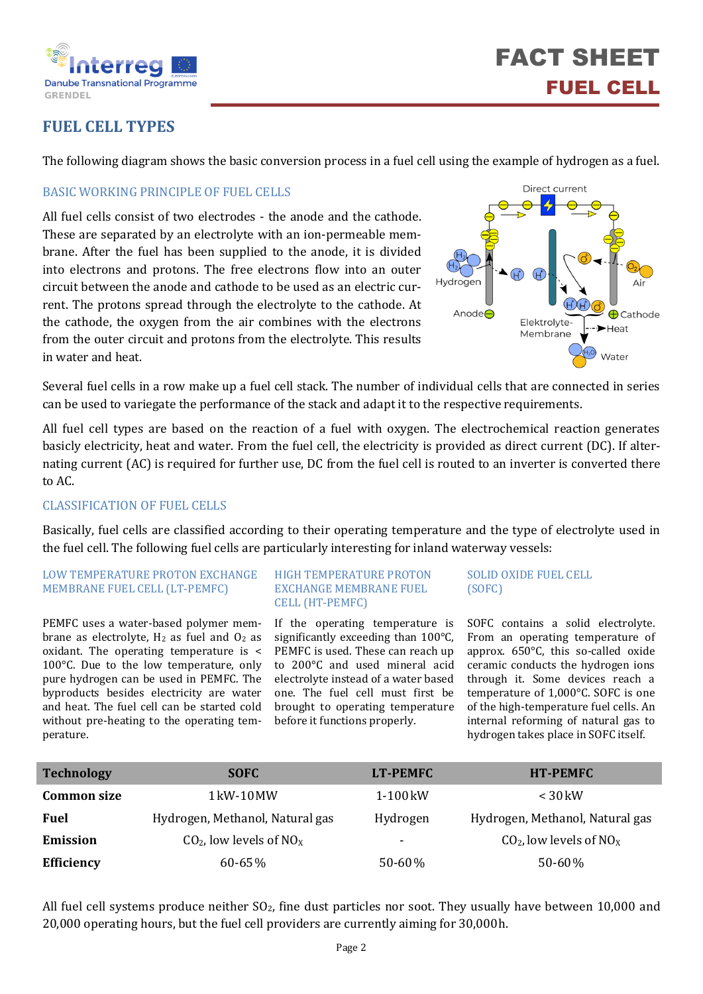

## **FUEL CELL TYPES**

The following diagram shows the basic conversion process in a fuel cell using the example of hydrogen as a fuel.

#### BASIC WORKING PRINCIPLE OF FUEL CELLS

All fuel cells consist of two electrodes - the anode and the cathode. These are separated by an electrolyte with an ion-permeable membrane. After the fuel has been supplied to the anode, it is divided into electrons and protons. The free electrons flow into an outer circuit between the anode and cathode to be used as an electric current. The protons spread through the electrolyte to the cathode. At the cathode, the oxygen from the air combines with the electrons from the outer circuit and protons from the electrolyte. This results in water and heat.



Several fuel cells in a row make up a fuel cell stack. The number of individual cells that are connected in series can be used to variegate the performance of the stack and adapt it to the respective requirements.

All fuel cell types are based on the reaction of a fuel with oxygen. The electrochemical reaction generates basicly electricity, heat and water. From the fuel cell, the electricity is provided as direct current (DC). If alternating current (AC) is required for further use, DC from the fuel cell is routed to an inverter is converted there to AC.

#### CLASSIFICATION OF FUEL CELLS

Basically, fuel cells are classified according to their operating temperature and the type of electrolyte used in the fuel cell. The following fuel cells are particularly interesting for inland waterway vessels:

#### LOW TEMPERATURE PROTON EXCHANGE MEMBRANE FUEL CELL (LT-PEMFC)

PEMFC uses a water-based polymer membrane as electrolyte,  $H_2$  as fuel and  $O_2$  as oxidant. The operating temperature is < 100°C. Due to the low temperature, only pure hydrogen can be used in PEMFC. The byproducts besides electricity are water and heat. The fuel cell can be started cold without pre-heating to the operating temperature.

#### HIGH TEMPERATURE PROTON EXCHANGE MEMBRANE FUEL CELL (HT-PEMFC)

If the operating temperature is significantly exceeding than 100°C, PEMFC is used. These can reach up to 200°C and used mineral acid electrolyte instead of a water based one. The fuel cell must first be brought to operating temperature before it functions properly.

SOLID OXIDE FUEL CELL (SOFC)

SOFC contains a solid electrolyte. From an operating temperature of approx. 650°C, this so-called oxide ceramic conducts the hydrogen ions through it. Some devices reach a temperature of 1,000°C. SOFC is one of the high-temperature fuel cells. An internal reforming of natural gas to hydrogen takes place in SOFC itself.

| <b>Technology</b>  | <b>SOFC</b>                            | LT-PEMFC | <b>HT-PEMFC</b>                       |
|--------------------|----------------------------------------|----------|---------------------------------------|
| <b>Common size</b> | $1 \,\mathrm{kW}$ - $10 \,\mathrm{MW}$ | 1-100 kW | $\leq$ 30 kW                          |
| <b>Fuel</b>        | Hydrogen, Methanol, Natural gas        | Hydrogen | Hydrogen, Methanol, Natural gas       |
| <b>Emission</b>    | $CO2$ , low levels of NO <sub>x</sub>  | ۰        | $CO2$ , low levels of NO <sub>x</sub> |
| Efficiency         | 60-65%                                 | 50-60%   | $50 - 60\%$                           |

All fuel cell systems produce neither  $SO_2$ , fine dust particles nor soot. They usually have between 10,000 and 20,000 operating hours, but the fuel cell providers are currently aiming for 30,000h.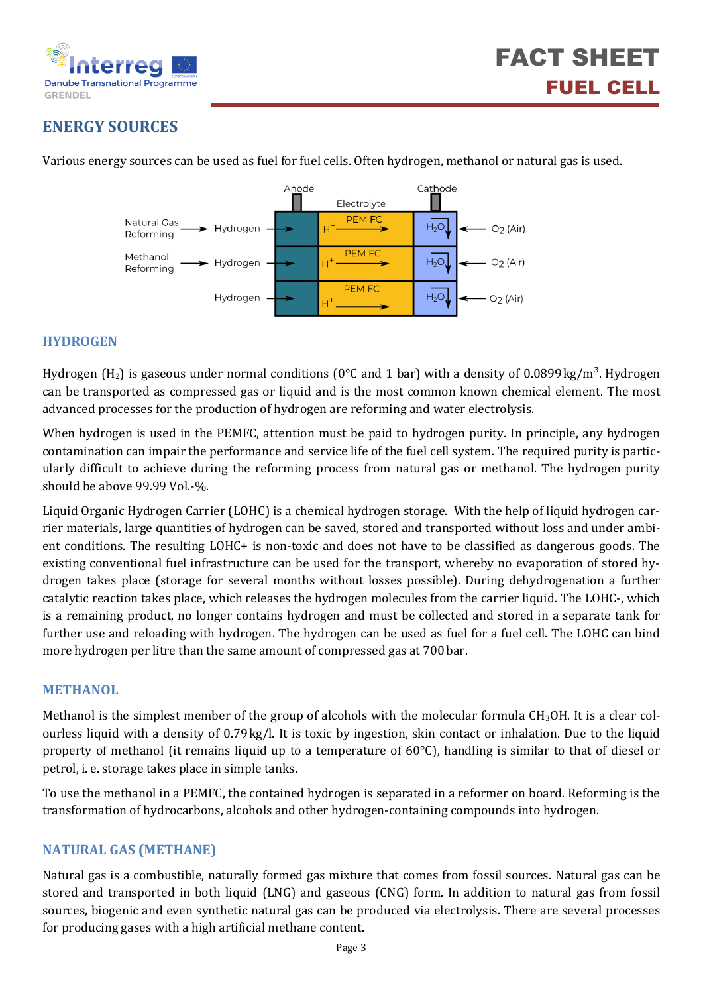

## **ENERGY SOURCES**

Various energy sources can be used as fuel for fuel cells. Often hydrogen, methanol or natural gas is used.



#### **HYDROGEN**

Hydrogen (H<sub>2</sub>) is gaseous under normal conditions (0°C and 1 bar) with a density of 0.0899kg/m<sup>3</sup>. Hydrogen can be transported as compressed gas or liquid and is the most common known chemical element. The most advanced processes for the production of hydrogen are reforming and water electrolysis.

When hydrogen is used in the PEMFC, attention must be paid to hydrogen purity. In principle, any hydrogen contamination can impair the performance and service life of the fuel cell system. The required purity is particularly difficult to achieve during the reforming process from natural gas or methanol. The hydrogen purity should be above 99.99 Vol.-%.

Liquid Organic Hydrogen Carrier (LOHC) is a chemical hydrogen storage. With the help of liquid hydrogen carrier materials, large quantities of hydrogen can be saved, stored and transported without loss and under ambient conditions. The resulting LOHC+ is non-toxic and does not have to be classified as dangerous goods. The existing conventional fuel infrastructure can be used for the transport, whereby no evaporation of stored hydrogen takes place (storage for several months without losses possible). During dehydrogenation a further catalytic reaction takes place, which releases the hydrogen molecules from the carrier liquid. The LOHC-, which is a remaining product, no longer contains hydrogen and must be collected and stored in a separate tank for further use and reloading with hydrogen. The hydrogen can be used as fuel for a fuel cell. The LOHC can bind more hydrogen per litre than the same amount of compressed gas at 700bar.

#### **METHANOL**

Methanol is the simplest member of the group of alcohols with the molecular formula CH<sub>3</sub>OH. It is a clear colourless liquid with a density of 0.79kg/l. It is toxic by ingestion, skin contact or inhalation. Due to the liquid property of methanol (it remains liquid up to a temperature of 60°C), handling is similar to that of diesel or petrol, i. e. storage takes place in simple tanks.

To use the methanol in a PEMFC, the contained hydrogen is separated in a reformer on board. Reforming is the transformation of hydrocarbons, alcohols and other hydrogen-containing compounds into hydrogen.

#### **NATURAL GAS (METHANE)**

Natural gas is a combustible, naturally formed gas mixture that comes from fossil sources. Natural gas can be stored and transported in both liquid (LNG) and gaseous (CNG) form. In addition to natural gas from fossil sources, biogenic and even synthetic natural gas can be produced via electrolysis. There are several processes for producing gases with a high artificial methane content.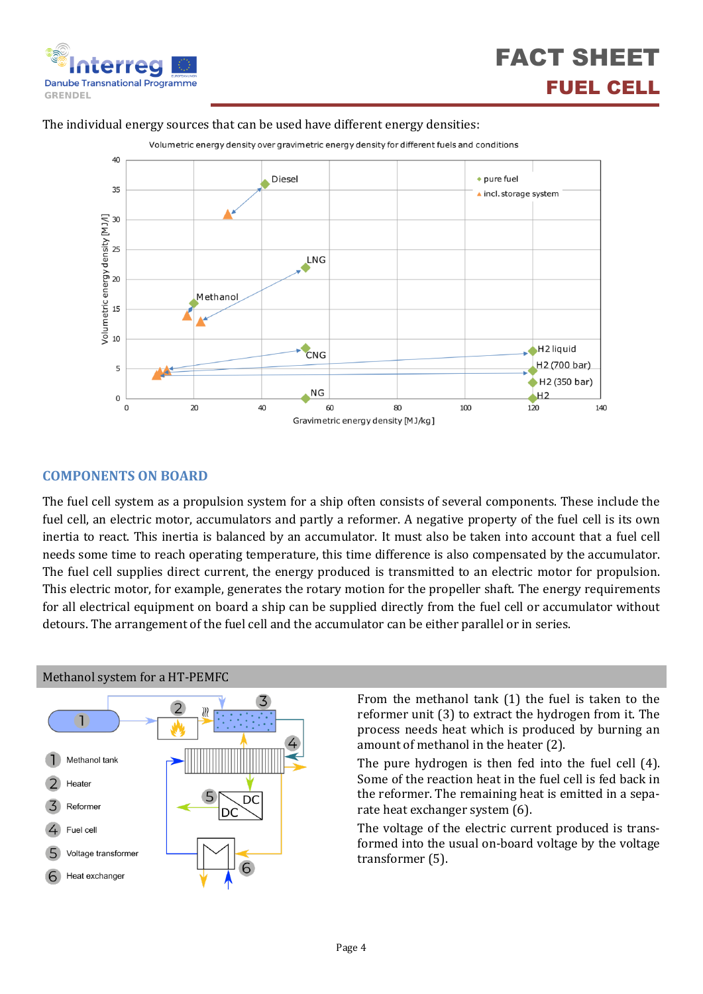

## FACT SHEET FUEL CELL

#### The individual energy sources that can be used have different energy densities:



#### **COMPONENTS ON BOARD**

The fuel cell system as a propulsion system for a ship often consists of several components. These include the fuel cell, an electric motor, accumulators and partly a reformer. A negative property of the fuel cell is its own inertia to react. This inertia is balanced by an accumulator. It must also be taken into account that a fuel cell needs some time to reach operating temperature, this time difference is also compensated by the accumulator. The fuel cell supplies direct current, the energy produced is transmitted to an electric motor for propulsion. This electric motor, for example, generates the rotary motion for the propeller shaft. The energy requirements for all electrical equipment on board a ship can be supplied directly from the fuel cell or accumulator without detours. The arrangement of the fuel cell and the accumulator can be either parallel or in series.



Methanol system for a HT-PEMFC

From the methanol tank (1) the fuel is taken to the reformer unit (3) to extract the hydrogen from it. The process needs heat which is produced by burning an amount of methanol in the heater (2).

The pure hydrogen is then fed into the fuel cell (4). Some of the reaction heat in the fuel cell is fed back in the reformer. The remaining heat is emitted in a separate heat exchanger system (6).

The voltage of the electric current produced is transformed into the usual on-board voltage by the voltage transformer (5).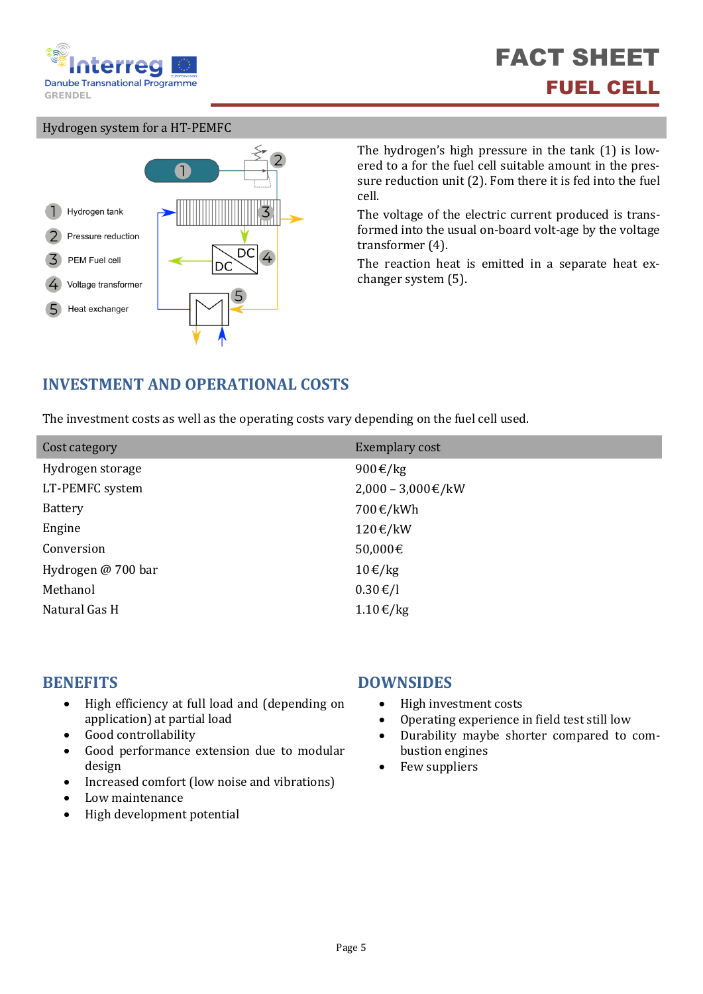

#### Hydrogen system for a HT-PEMFC



The hydrogen's high pressure in the tank (1) is lowered to a for the fuel cell suitable amount in the pressure reduction unit (2). Fom there it is fed into the fuel cell.

The voltage of the electric current produced is transformed into the usual on-board volt-age by the voltage transformer (4).

The reaction heat is emitted in a separate heat exchanger system (5).

## **INVESTMENT AND OPERATIONAL COSTS**

The investment costs as well as the operating costs vary depending on the fuel cell used.

| Cost category      | Exemplary cost          |
|--------------------|-------------------------|
| Hydrogen storage   | 900€/kg                 |
| LT-PEMFC system    | $2,000 - 3,000 \in$ /kW |
| <b>Battery</b>     | 700€/kWh                |
| Engine             | 120€/kW                 |
| Conversion         | 50,000€                 |
| Hydrogen @ 700 bar | $10 \in /kg$            |
| Methanol           | $0.30 \text{€}/l$       |
| Natural Gas H      | 1.10€/kg                |

- High efficiency at full load and (depending on application) at partial load
- Good controllability
- Good performance extension due to modular design
- Increased comfort (low noise and vibrations)
- Low maintenance
- High development potential

#### **BENEFITS DOWNSIDES**

- High investment costs
- Operating experience in field test still low
- Durability maybe shorter compared to combustion engines
- Few suppliers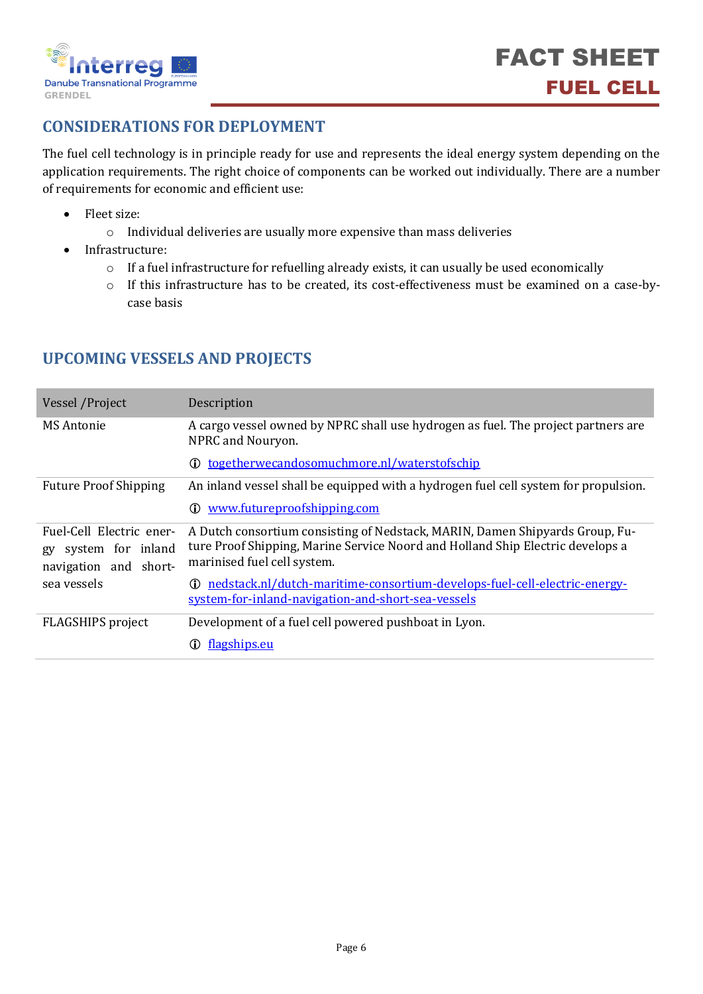

## **CONSIDERATIONS FOR DEPLOYMENT**

The fuel cell technology is in principle ready for use and represents the ideal energy system depending on the application requirements. The right choice of components can be worked out individually. There are a number of requirements for economic and efficient use:

- Fleet size:
	- o Individual deliveries are usually more expensive than mass deliveries
- Infrastructure:
	- o If a fuel infrastructure for refuelling already exists, it can usually be used economically
	- o If this infrastructure has to be created, its cost-effectiveness must be examined on a case-bycase basis

| Vessel / Project                                                             | Description                                                                                                                                                                                   |  |
|------------------------------------------------------------------------------|-----------------------------------------------------------------------------------------------------------------------------------------------------------------------------------------------|--|
| MS Antonie                                                                   | A cargo vessel owned by NPRC shall use hydrogen as fuel. The project partners are<br>NPRC and Nouryon.                                                                                        |  |
|                                                                              | <b>①</b> togetherwecandosomuchmore.nl/waterstofschip                                                                                                                                          |  |
| <b>Future Proof Shipping</b>                                                 | An inland vessel shall be equipped with a hydrogen fuel cell system for propulsion.                                                                                                           |  |
|                                                                              | www.futureproofshipping.com<br>(i)                                                                                                                                                            |  |
| Fuel-Cell Electric ener-<br>system for inland<br>gy<br>navigation and short- | A Dutch consortium consisting of Nedstack, MARIN, Damen Shipyards Group, Fu-<br>ture Proof Shipping, Marine Service Noord and Holland Ship Electric develops a<br>marinised fuel cell system. |  |
| sea vessels                                                                  | nedstack.nl/dutch-maritime-consortium-develops-fuel-cell-electric-energy-<br>(i)<br>system-for-inland-navigation-and-short-sea-vessels                                                        |  |
| <b>FLAGSHIPS</b> project                                                     | Development of a fuel cell powered pushboat in Lyon.                                                                                                                                          |  |
|                                                                              | flagships.eu                                                                                                                                                                                  |  |

### **UPCOMING VESSELS AND PROJECTS**